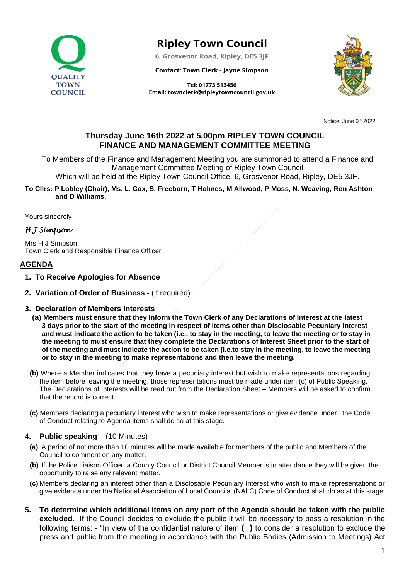

# **Ripley Town Council**

6, Grosvenor Road, Ripley, DE5 3JF

**Contact: Town Clerk - Jayne Simpson** 





Notice: June 9<sup>th</sup> 2022

## **Thursday June 16th 2022 at 5.00pm RIPLEY TOWN COUNCIL FINANCE AND MANAGEMENT COMMITTEE MEETING**

To Members of the Finance and Management Meeting you are summoned to attend a Finance and Management Committee Meeting of Ripley Town Council

Which will be held at the Ripley Town Council Office, 6, Grosvenor Road, Ripley, DE5 3JF.

**To Cllrs: P Lobley (Chair), Ms. L. Cox, S. Freeborn, T Holmes, M Allwood, P Moss, N. Weaving, Ron Ashton and D Williams.**

Yours sincerely

## *H J Simpson*

Mrs H J Simpson Town Clerk and Responsible Finance Officer

## **AGENDA**

- **1. To Receive Apologies for Absence**
- **2. Variation of Order of Business -** (if required)

#### **3. Declaration of Members Interests**

- **(a) Members must ensure that they inform the Town Clerk of any Declarations of Interest at the latest 3 days prior to the start of the meeting in respect of items other than Disclosable Pecuniary Interest and must indicate the action to be taken (i.e., to stay in the meeting, to leave the meeting or to stay in the meeting to must ensure that they complete the Declarations of Interest Sheet prior to the start of of the meeting and must indicate the action to be taken (i.e.to stay in the meeting, to leave the meeting or to stay in the meeting to make representations and then leave the meeting.**
- **(b)** Where a Member indicates that they have a pecuniary interest but wish to make representations regarding the item before leaving the meeting, those representations must be made under item (c) of Public Speaking. The Declarations of Interests will be read out from the Declaration Sheet – Members will be asked to confirm that the record is correct.
- **(c)** Members declaring a pecuniary interest who wish to make representations or give evidence under the Code of Conduct relating to Agenda items shall do so at this stage.

#### **4. Public speaking** – (10 Minutes)

- **(a)** A period of not more than 10 minutes will be made available for members of the public and Members of the Council to comment on any matter.
- **(b)** If the Police Liaison Officer, a County Council or District Council Member is in attendance they will be given the opportunity to raise any relevant matter.
- **(c)** Members declaring an interest other than a Disclosable Pecuniary Interest who wish to make representations or give evidence under the National Association of Local Councils' (NALC) Code of Conduct shall do so at this stage.
- **5. To determine which additional items on any part of the Agenda should be taken with the public excluded.** If the Council decides to exclude the public it will be necessary to pass a resolution in the following terms: - "In view of the confidential nature of item **( )** to consider a resolution to exclude the press and public from the meeting in accordance with the Public Bodies (Admission to Meetings) Act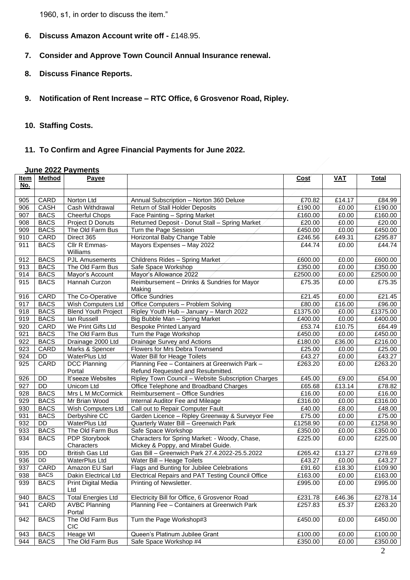1960, s1, in order to discuss the item."

- **6. Discuss Amazon Account write off -** £148.95.
- **7. Consider and Approve Town Council Annual Insurance renewal.**
- **8. Discuss Finance Reports.**
- **9. Notification of Rent Increase – RTC Office, 6 Grosvenor Road, Ripley.**
- **10. Staffing Costs.**
- **11. To Confirm and Agree Financial Payments for June 2022.**

## **June 2022 Payments**

| No.<br>CARD<br>Annual Subscription - Norton 360 Deluxe<br>£84.99<br>905<br>Norton Ltd<br>£70.82<br>£14.17<br>CASH<br>906<br>Cash Withdrawal<br>Return of Stall Holder Deposits<br>£190.00<br>£0.00<br>£190.00<br>907<br><b>BACS</b><br>E160.00<br>£0.00<br>£160.00<br>Cheerful Chops<br>Face Painting - Spring Market<br><b>BACS</b><br>908<br>Project D Donuts<br>Returned Deposit - Donut Stall - Spring Market<br>£20.00<br>£0.00<br>£20.00<br><b>BACS</b><br>The Old Farm Bus<br>$\overline{\text{£}}450.00$<br>£0.00<br>£450.00<br>909<br>Turn the Page Session<br>CARD<br>Direct 365<br>Horizontal Baby Change Table<br>£49.31<br>£295.87<br>910<br>£246.56 |
|-------------------------------------------------------------------------------------------------------------------------------------------------------------------------------------------------------------------------------------------------------------------------------------------------------------------------------------------------------------------------------------------------------------------------------------------------------------------------------------------------------------------------------------------------------------------------------------------------------------------------------------------------------------------|
|                                                                                                                                                                                                                                                                                                                                                                                                                                                                                                                                                                                                                                                                   |
|                                                                                                                                                                                                                                                                                                                                                                                                                                                                                                                                                                                                                                                                   |
|                                                                                                                                                                                                                                                                                                                                                                                                                                                                                                                                                                                                                                                                   |
|                                                                                                                                                                                                                                                                                                                                                                                                                                                                                                                                                                                                                                                                   |
|                                                                                                                                                                                                                                                                                                                                                                                                                                                                                                                                                                                                                                                                   |
|                                                                                                                                                                                                                                                                                                                                                                                                                                                                                                                                                                                                                                                                   |
|                                                                                                                                                                                                                                                                                                                                                                                                                                                                                                                                                                                                                                                                   |
| <b>BACS</b><br>Cllr R Emmas-<br>911<br>Mayors Expenses - May 2022<br>£44.74<br>£0.00<br>£44.74                                                                                                                                                                                                                                                                                                                                                                                                                                                                                                                                                                    |
| Williams                                                                                                                                                                                                                                                                                                                                                                                                                                                                                                                                                                                                                                                          |
| <b>BACS</b><br>912<br>£600.00<br><b>PJL Amusements</b><br>Childrens Rides - Spring Market<br>£600.00<br>£0.00                                                                                                                                                                                                                                                                                                                                                                                                                                                                                                                                                     |
| <b>BACS</b><br>The Old Farm Bus<br>£350.00<br>913<br>Safe Space Workshop<br>£350.00<br>£0.00                                                                                                                                                                                                                                                                                                                                                                                                                                                                                                                                                                      |
| £2500.00<br>914<br><b>BACS</b><br>Mayor's Account<br>Mayor's Allowance 2022<br>£2500.00<br>£0.00                                                                                                                                                                                                                                                                                                                                                                                                                                                                                                                                                                  |
| <b>BACS</b><br>£0.00<br>£75.35<br>915<br>Hannah Curzon<br>Reimbursement - Drinks & Sundries for Mayor<br>£75.35<br>Making                                                                                                                                                                                                                                                                                                                                                                                                                                                                                                                                         |
| CARD<br><b>Office Sundries</b><br>916<br>The Co-Operative<br>£21.45<br>£0.00<br>£21.45                                                                                                                                                                                                                                                                                                                                                                                                                                                                                                                                                                            |
| <b>BACS</b><br>Wish Computers Ltd<br>Office Computers - Problem Solving<br>917<br>£80.00<br>£16.00<br>£96.00                                                                                                                                                                                                                                                                                                                                                                                                                                                                                                                                                      |
| £1375.00<br>918<br><b>BACS</b><br><b>Blend Youth Project</b><br>Ripley Youth Hub - January - March 2022<br>£1375.00<br>£0.00                                                                                                                                                                                                                                                                                                                                                                                                                                                                                                                                      |
| <b>BACS</b><br>919<br>lan Russell<br>£400.00<br>£0.00<br>£400.00<br>Big Bubble Man - Spring Market                                                                                                                                                                                                                                                                                                                                                                                                                                                                                                                                                                |
| CARD<br>We Print Gifts Ltd<br>£10.75<br>£64.49<br>920<br><b>Bespoke Printed Lanyard</b><br>£53.74                                                                                                                                                                                                                                                                                                                                                                                                                                                                                                                                                                 |
| <b>BACS</b><br>The Old Farm Bus<br>£450.00<br>921<br>Turn the Page Workshop<br>£450.00<br>£0.00                                                                                                                                                                                                                                                                                                                                                                                                                                                                                                                                                                   |
| <b>BACS</b><br>922<br>£36.00<br>£216.00<br>Drainage 2000 Ltd<br>Drainage Survey and Actions<br>£180.00                                                                                                                                                                                                                                                                                                                                                                                                                                                                                                                                                            |
| CARD<br>£25.00<br>923<br>Marks & Spencer<br>Flowers for Mrs Debra Townsend<br>£25.00<br>£0.00                                                                                                                                                                                                                                                                                                                                                                                                                                                                                                                                                                     |
| £43.27<br>£43.27<br>924<br>DD<br><b>WaterPlus Ltd</b><br>Water Bill for Heage Toilets<br>£0.00                                                                                                                                                                                                                                                                                                                                                                                                                                                                                                                                                                    |
| CARD<br>Planning Fee - Containers at Greenwich Park -<br>£263.20<br>£0.00<br>£263.20<br>925<br><b>DCC Planning</b><br>Portal<br>Refund Requested and Resubmitted.                                                                                                                                                                                                                                                                                                                                                                                                                                                                                                 |
| It'seeze Websites<br>926<br><b>DD</b><br>Ripley Town Council - Website Subscription Charges<br>£45.00<br>£9.00<br>£54.00                                                                                                                                                                                                                                                                                                                                                                                                                                                                                                                                          |
| DD<br>£13.14<br>927<br>Unicom Ltd<br>Office Telephone and Broadband Charges<br>£65.68<br>£78.82                                                                                                                                                                                                                                                                                                                                                                                                                                                                                                                                                                   |
| 928<br><b>BACS</b><br>£0.00<br>Mrs L M McCormick<br>Reimbursement - Office Sundries<br>£16.00<br>£16.00                                                                                                                                                                                                                                                                                                                                                                                                                                                                                                                                                           |
| 929<br><b>BACS</b><br>$\overline{\text{£}}316.00$<br>£316.00<br>Mr Brian Wood<br>Internal Auditor Fee and Mileage<br>£0.00                                                                                                                                                                                                                                                                                                                                                                                                                                                                                                                                        |
| 930<br><b>BACS</b><br>Wish Computers Ltd<br>Call out to Repair Computer Fault<br>£8.00<br>£48.00<br>£40.00                                                                                                                                                                                                                                                                                                                                                                                                                                                                                                                                                        |
| <b>BACS</b><br>£75.00<br>£75.00<br>931<br>Derbyshire CC<br>Garden Licence - Ripley Greenway & Surveyor Fee<br>£0.00                                                                                                                                                                                                                                                                                                                                                                                                                                                                                                                                               |
| £1258.90<br>932<br><b>DD</b><br><b>WaterPlus Ltd</b><br>Quarterly Water Bill - Greenwich Park<br>£1258.90<br>£0.00                                                                                                                                                                                                                                                                                                                                                                                                                                                                                                                                                |
| The Old Farm Bus<br>933<br><b>BACS</b><br>Safe Space Workshop<br>£350.00<br>£0.00<br>£350.00                                                                                                                                                                                                                                                                                                                                                                                                                                                                                                                                                                      |
| <b>BACS</b><br>Characters for Spring Market: - Woody, Chase,<br>£0.00<br>£225.00<br>934<br>PDP Storybook<br>£225.00                                                                                                                                                                                                                                                                                                                                                                                                                                                                                                                                               |
| Characters<br>Mickey & Poppy, and Mirabel Guide.                                                                                                                                                                                                                                                                                                                                                                                                                                                                                                                                                                                                                  |
| 935<br><b>DD</b><br><b>British Gas Ltd</b><br>Gas Bill - Greenwich Park 27.4.2022-25.5.2022<br>£265.42<br>£13.27<br>£278.69                                                                                                                                                                                                                                                                                                                                                                                                                                                                                                                                       |
| DD<br>936<br>WaterPlus Ltd<br>Water Bill - Heage Toilets<br>£43.27<br>£0.00<br>£43.27                                                                                                                                                                                                                                                                                                                                                                                                                                                                                                                                                                             |
| CARD<br>£91.60<br>£18.30<br>937<br>Amazon EU Sarl<br>Flags and Bunting for Jubilee Celebrations<br>£109.90                                                                                                                                                                                                                                                                                                                                                                                                                                                                                                                                                        |
| <b>BACS</b><br>938<br>E163.00<br>Dakin Electrical Ltd<br>Electrical Repairs and PAT Testing Council Office<br>£163.00<br>£0.00                                                                                                                                                                                                                                                                                                                                                                                                                                                                                                                                    |
| <b>BACS</b><br>£0.00<br>£995.00<br>939<br>£995.00<br>Print Digital Media<br>Printing of Newsletter.<br>Ltd                                                                                                                                                                                                                                                                                                                                                                                                                                                                                                                                                        |
| <b>BACS</b><br><b>Total Energies Ltd</b><br>Electricity Bill for Office, 6 Grosvenor Road<br>£231.78<br>£46.36<br>£278.14<br>940                                                                                                                                                                                                                                                                                                                                                                                                                                                                                                                                  |
| CARD<br><b>AVBC Planning</b><br>Planning Fee - Containers at Greenwich Park<br>£5.37<br>£257.83<br>£263.20<br>941<br>Portal                                                                                                                                                                                                                                                                                                                                                                                                                                                                                                                                       |
| The Old Farm Bus<br><b>BACS</b><br>Turn the Page Workshop#3<br>£450.00<br>942<br>£450.00<br>£0.00<br><b>CIC</b>                                                                                                                                                                                                                                                                                                                                                                                                                                                                                                                                                   |
| <b>Heage WI</b><br><b>BACS</b><br>Queen's Platinum Jubilee Grant<br>£100.00<br>£0.00<br>£100.00<br>943                                                                                                                                                                                                                                                                                                                                                                                                                                                                                                                                                            |
| The Old Farm Bus<br><b>BACS</b><br>Safe Space Workshop #4<br>£350.00<br>£0.00<br>£350.00<br>944                                                                                                                                                                                                                                                                                                                                                                                                                                                                                                                                                                   |